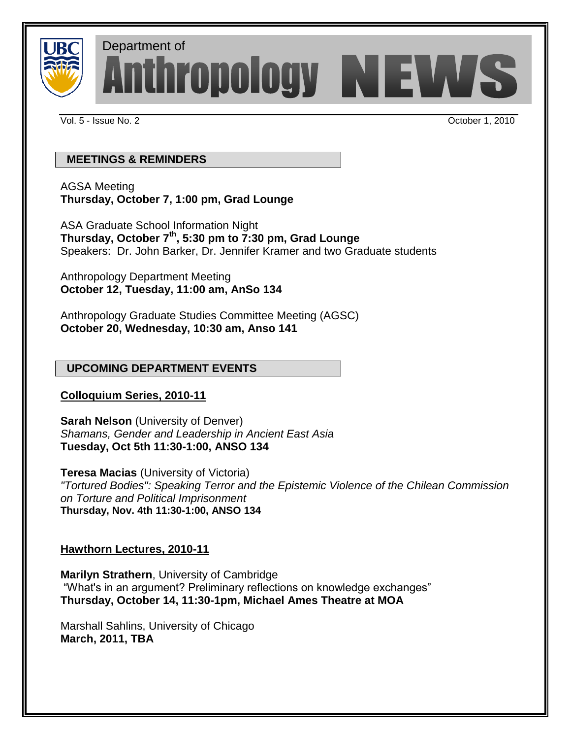

Department ofAnthropology NEWS

Vol. 5 - Issue No. 2 October 1, 2010

# **MEETINGS & REMINDERS**

AGSA Meeting **Thursday, October 7, 1:00 pm, Grad Lounge**

ASA Graduate School Information Night **Thursday, October 7th, 5:30 pm to 7:30 pm, Grad Lounge**  Speakers: Dr. John Barker, Dr. Jennifer Kramer and two Graduate students

Anthropology Department Meeting **October 12, Tuesday, 11:00 am, AnSo 134**

Anthropology Graduate Studies Committee Meeting (AGSC) **October 20, Wednesday, 10:30 am, Anso 141**

# **UPCOMING DEPARTMENT EVENTS**

# **Colloquium Series, 2010-11**

**Sarah Nelson** (University of Denver) *Shamans, Gender and Leadership in Ancient East Asia* **Tuesday, Oct 5th 11:30-1:00, ANSO 134**

**Teresa Macias** (University of Victoria) *"Tortured Bodies": Speaking Terror and the Epistemic Violence of the Chilean Commission on Torture and Political Imprisonment* **Thursday, Nov. 4th 11:30-1:00, ANSO 134**

# **Hawthorn Lectures, 2010-11**

**Marilyn Strathern**, University of Cambridge "What's in an argument? Preliminary reflections on knowledge exchanges" **Thursday, October 14, 11:30-1pm, Michael Ames Theatre at MOA**

Marshall Sahlins, University of Chicago **March, 2011, TBA**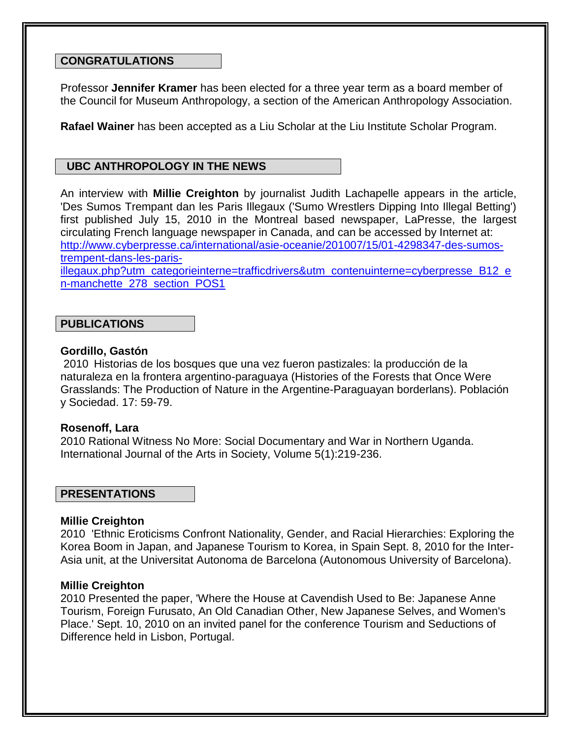#### **CONGRATULATIONS**

Professor **Jennifer Kramer** has been elected for a three year term as a board member of the Council for Museum Anthropology, a section of the American Anthropology Association.

**Rafael Wainer** has been accepted as a Liu Scholar at the Liu Institute Scholar Program.

# **UBC ANTHROPOLOGY IN THE NEWS**

An interview with **Millie Creighton** by journalist Judith Lachapelle appears in the article, 'Des Sumos Trempant dan les Paris Illegaux ('Sumo Wrestlers Dipping Into Illegal Betting') first published July 15, 2010 in the Montreal based newspaper, LaPresse, the largest circulating French language newspaper in Canada, and can be accessed by Internet at: [http://www.cyberpresse.ca/international/asie-oceanie/201007/15/01-4298347-des-sumos](http://www.cyberpresse.ca/international/asie-oceanie/201007/15/01-4298347-des-sumos-trempent-dans-les-paris-illegaux.php?utm_categorieinterne=trafficdrivers&utm_contenuinterne=cyberpresse_B12_en-manchette_278_section_POS1)[trempent-dans-les-paris-](http://www.cyberpresse.ca/international/asie-oceanie/201007/15/01-4298347-des-sumos-trempent-dans-les-paris-illegaux.php?utm_categorieinterne=trafficdrivers&utm_contenuinterne=cyberpresse_B12_en-manchette_278_section_POS1)

[illegaux.php?utm\\_categorieinterne=trafficdrivers&utm\\_contenuinterne=cyberpresse\\_B12\\_e](http://www.cyberpresse.ca/international/asie-oceanie/201007/15/01-4298347-des-sumos-trempent-dans-les-paris-illegaux.php?utm_categorieinterne=trafficdrivers&utm_contenuinterne=cyberpresse_B12_en-manchette_278_section_POS1) [n-manchette\\_278\\_section\\_POS1](http://www.cyberpresse.ca/international/asie-oceanie/201007/15/01-4298347-des-sumos-trempent-dans-les-paris-illegaux.php?utm_categorieinterne=trafficdrivers&utm_contenuinterne=cyberpresse_B12_en-manchette_278_section_POS1)

# **PUBLICATIONS**

### **Gordillo, Gastón**

2010 Historias de los bosques que una vez fueron pastizales: la producción de la naturaleza en la frontera argentino-paraguaya (Histories of the Forests that Once Were Grasslands: The Production of Nature in the Argentine-Paraguayan borderlans). Población y Sociedad. 17: 59-79.

## **Rosenoff, Lara**

2010 Rational Witness No More: Social Documentary and War in Northern Uganda. International Journal of the Arts in Society, Volume 5(1):219-236.

## **PRESENTATIONS**

#### **Millie Creighton**

2010 'Ethnic Eroticisms Confront Nationality, Gender, and Racial Hierarchies: Exploring the Korea Boom in Japan, and Japanese Tourism to Korea, in Spain Sept. 8, 2010 for the Inter-Asia unit, at the Universitat Autonoma de Barcelona (Autonomous University of Barcelona).

## **Millie Creighton**

2010 Presented the paper, 'Where the House at Cavendish Used to Be: Japanese Anne Tourism, Foreign Furusato, An Old Canadian Other, New Japanese Selves, and Women's Place.' Sept. 10, 2010 on an invited panel for the conference Tourism and Seductions of Difference held in Lisbon, Portugal.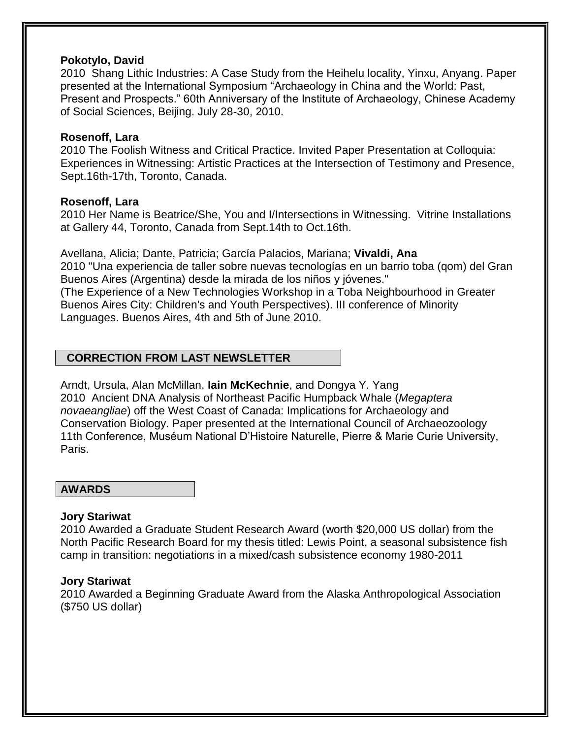### **Pokotylo, David**

2010 Shang Lithic Industries: A Case Study from the Heihelu locality, Yinxu, Anyang. Paper presented at the International Symposium "Archaeology in China and the World: Past, Present and Prospects." 60th Anniversary of the Institute of Archaeology, Chinese Academy of Social Sciences, Beijing. July 28-30, 2010.

### **Rosenoff, Lara**

2010 The Foolish Witness and Critical Practice. Invited Paper Presentation at Colloquia: Experiences in Witnessing: Artistic Practices at the Intersection of Testimony and Presence, Sept.16th-17th, Toronto, Canada.

### **Rosenoff, Lara**

2010 Her Name is Beatrice/She, You and I/Intersections in Witnessing. Vitrine Installations at Gallery 44, Toronto, Canada from Sept.14th to Oct.16th.

Avellana, Alicia; Dante, Patricia; García Palacios, Mariana; **Vivaldi, Ana** 2010 "Una experiencia de taller sobre nuevas tecnologías en un barrio toba (qom) del Gran Buenos Aires (Argentina) desde la mirada de los niños y jóvenes." (The Experience of a New Technologies Workshop in a Toba Neighbourhood in Greater Buenos Aires City: Children's and Youth Perspectives). III conference of Minority Languages. Buenos Aires, 4th and 5th of June 2010.

# **CORRECTION FROM LAST NEWSLETTER**

Arndt, Ursula, Alan McMillan, **Iain McKechnie**, and Dongya Y. Yang 2010 Ancient DNA Analysis of Northeast Pacific Humpback Whale (*Megaptera novaeangliae*) off the West Coast of Canada: Implications for Archaeology and Conservation Biology. Paper presented at the International Council of Archaeozoology 11th Conference, Muséum National D'Histoire Naturelle, Pierre & Marie Curie University, Paris.

## **AWARDS**

## **Jory Stariwat**

2010 Awarded a Graduate Student Research Award (worth \$20,000 US dollar) from the North Pacific Research Board for my thesis titled: Lewis Point, a seasonal subsistence fish camp in transition: negotiations in a mixed/cash subsistence economy 1980-2011

#### **Jory Stariwat**

2010 Awarded a Beginning Graduate Award from the Alaska Anthropological Association (\$750 US dollar)